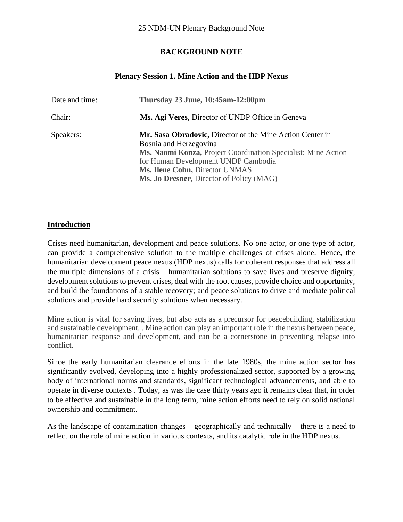# **BACKGROUND NOTE**

# **Plenary Session 1. Mine Action and the HDP Nexus**

| Date and time: | Thursday 23 June, 10:45am-12:00pm                                                                                                                                                                                                                                         |
|----------------|---------------------------------------------------------------------------------------------------------------------------------------------------------------------------------------------------------------------------------------------------------------------------|
| Chair:         | Ms. Agi Veres, Director of UNDP Office in Geneva                                                                                                                                                                                                                          |
| Speakers:      | Mr. Sasa Obradovic, Director of the Mine Action Center in<br>Bosnia and Herzegovina<br>Ms. Naomi Konza, Project Coordination Specialist: Mine Action<br>for Human Development UNDP Cambodia<br>Ms. Ilene Cohn, Director UNMAS<br>Ms. Jo Dresner, Director of Policy (MAG) |

## **Introduction**

Crises need humanitarian, development and peace solutions. No one actor, or one type of actor, can provide a comprehensive solution to the multiple challenges of crises alone. Hence, the humanitarian development peace nexus (HDP nexus) calls for coherent responses that address all the multiple dimensions of a crisis – humanitarian solutions to save lives and preserve dignity; development solutions to prevent crises, deal with the root causes, provide choice and opportunity, and build the foundations of a stable recovery; and peace solutions to drive and mediate political solutions and provide hard security solutions when necessary.

Mine action is vital for saving lives, but also acts as a precursor for peacebuilding, stabilization and sustainable development. . Mine action can play an important role in the nexus between peace, humanitarian response and development, and can be a cornerstone in preventing relapse into conflict.

Since the early humanitarian clearance efforts in the late 1980s, the mine action sector has significantly evolved, developing into a highly professionalized sector, supported by a growing body of international norms and standards, significant technological advancements, and able to operate in diverse contexts . Today, as was the case thirty years ago it remains clear that, in order to be effective and sustainable in the long term, mine action efforts need to rely on solid national ownership and commitment.

As the landscape of contamination changes – geographically and technically – there is a need to reflect on the role of mine action in various contexts, and its catalytic role in the HDP nexus.